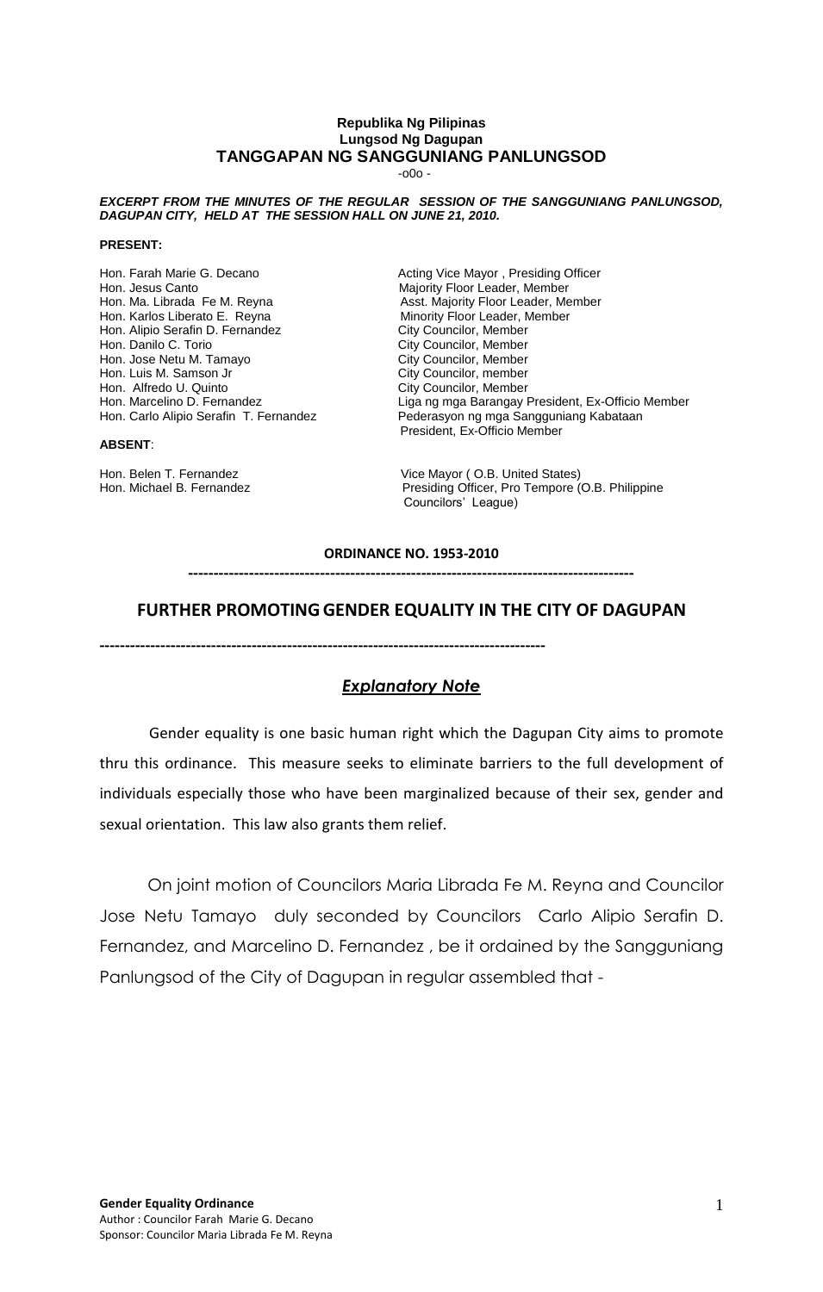#### **Republika Ng Pilipinas Lungsod Ng Dagupan TANGGAPAN NG SANGGUNIANG PANLUNGSOD**

-o0o -

#### *EXCERPT FROM THE MINUTES OF THE REGULAR SESSION OF THE SANGGUNIANG PANLUNGSOD, DAGUPAN CITY, HELD AT THE SESSION HALL ON JUNE 21, 2010.*

#### **PRESENT:**

Hon. Farah Marie G. Decano **Acting Vice Mayor , Presiding Officer**<br>Hon. Jesus Canto **Acting Vice Mayor Majority Floor Leader**, Member Hon. Jesus Canto<br>Hon. Ma. Librada Fe M. Reyna **Manuel Assact Automateur Controllery** Asst. Majority Floor Leader, Me Hon. Ma. Librada Fe M. Reyna **Asst. Majority Floor Leader, Member**<br>Hon. Karlos Liberato E. Reyna **Assember** Minority Floor Leader, Member Hon. Alipio Serafin D. Fernandez City Councilor, Member<br>Hon. Danilo C. Torio Carte City Councilor, Member Hon. Jose Netu M. Tamayo City Councilor, Member<br>
Hon. Luis M. Samson Jr City Councilor, Member Hon. Luis M. Samson Jr City Councilor, member Hon. Alfredo U. Quinto

#### **ABSENT**:

Minority Floor Leader, Member City Councilor, Member<br>City Councilor, Member Hon. Marcelino D. Fernandez **Liga ng mga Barangay President, Ex-Officio Member** Hon. Carlo Alipio Serafin T. Fernandez Pederasyon ng mga Sangguniang Kabataan President, Ex-Officio Member

Hon. Belen T. Fernandez **Vice Mayor ( O.B. United States)**<br>Hon. Michael B. Fernandez **Vice States** Presiding Officer. Pro Tempore ( Presiding Officer, Pro Tempore (O.B. Philippine Councilors' League)

#### **ORDINANCE NO. 1953-2010**

**----------------------------------------------------------------------------------------**

#### **FURTHER PROMOTINGGENDER EQUALITY IN THE CITY OF DAGUPAN**

**----------------------------------------------------------------------------------------**

#### *Explanatory Note*

Gender equality is one basic human right which the Dagupan City aims to promote thru this ordinance. This measure seeks to eliminate barriers to the full development of individuals especially those who have been marginalized because of their sex, gender and sexual orientation. This law also grants them relief.

 On joint motion of Councilors Maria Librada Fe M. Reyna and Councilor Jose Netu Tamayo duly seconded by Councilors Carlo Alipio Serafin D. Fernandez, and Marcelino D. Fernandez , be it ordained by the Sangguniang Panlungsod of the City of Dagupan in regular assembled that -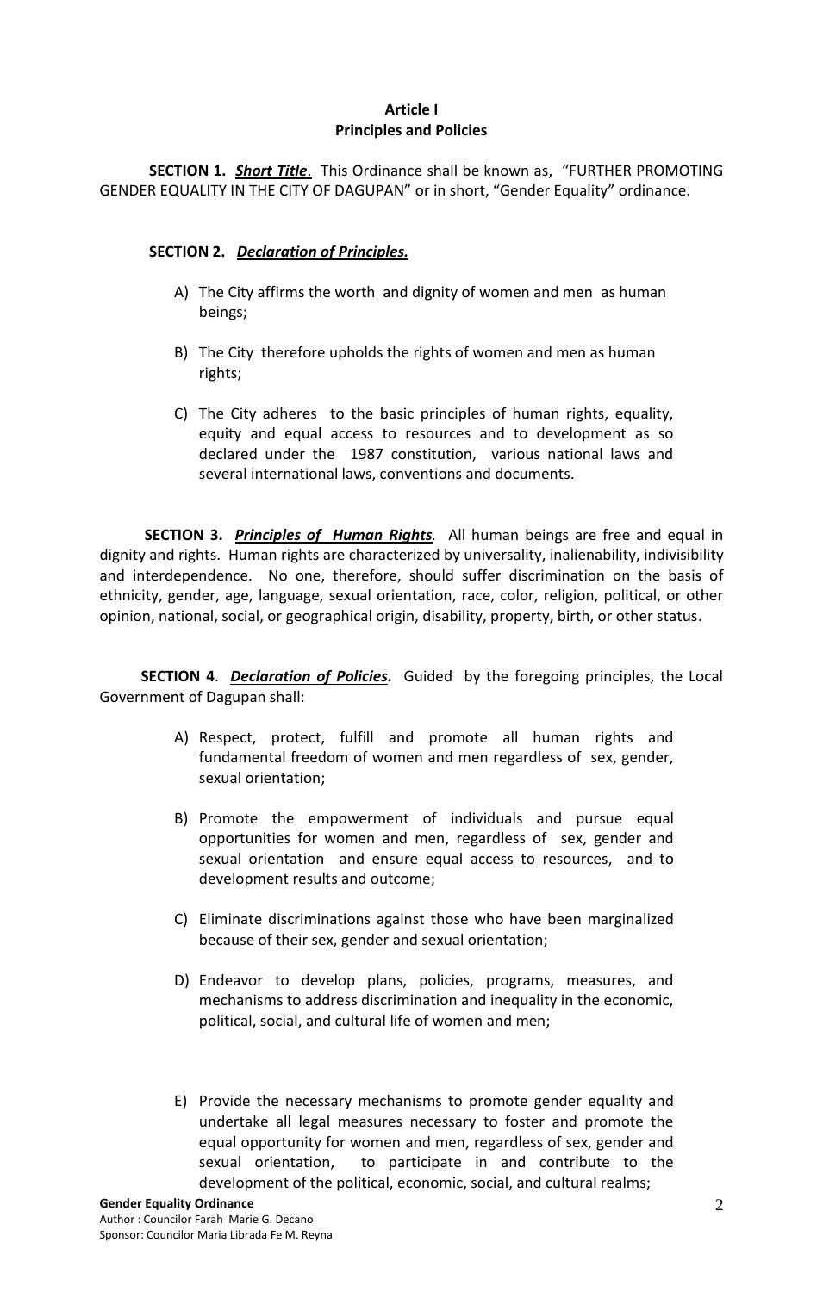## **Article I Principles and Policies**

**SECTION 1.** *Short Title*. This Ordinance shall be known as, "FURTHER PROMOTING GENDER EQUALITY IN THE CITY OF DAGUPAN" or in short, "Gender Equality" ordinance.

## **SECTION 2.** *Declaration of Principles.*

- A) The City affirms the worth and dignity of women and men as human beings;
- B) The City therefore upholds the rights of women and men as human rights;
- C) The City adheres to the basic principles of human rights, equality, equity and equal access to resources and to development as so declared under the 1987 constitution, various national laws and several international laws, conventions and documents.

 **SECTION 3.** *Principles of Human Rights.* All human beings are free and equal in dignity and rights. Human rights are characterized by universality, inalienability, indivisibility and interdependence. No one, therefore, should suffer discrimination on the basis of ethnicity, gender, age, language, sexual orientation, race, color, religion, political, or other opinion, national, social, or geographical origin, disability, property, birth, or other status.

 **SECTION 4**. *Declaration of Policies.* Guided by the foregoing principles, the Local Government of Dagupan shall:

- A) Respect, protect, fulfill and promote all human rights and fundamental freedom of women and men regardless of sex, gender, sexual orientation;
- B) Promote the empowerment of individuals and pursue equal opportunities for women and men, regardless of sex, gender and sexual orientation and ensure equal access to resources, and to development results and outcome;
- C) Eliminate discriminations against those who have been marginalized because of their sex, gender and sexual orientation;
- D) Endeavor to develop plans, policies, programs, measures, and mechanisms to address discrimination and inequality in the economic, political, social, and cultural life of women and men;
- E) Provide the necessary mechanisms to promote gender equality and undertake all legal measures necessary to foster and promote the equal opportunity for women and men, regardless of sex, gender and sexual orientation, to participate in and contribute to the development of the political, economic, social, and cultural realms;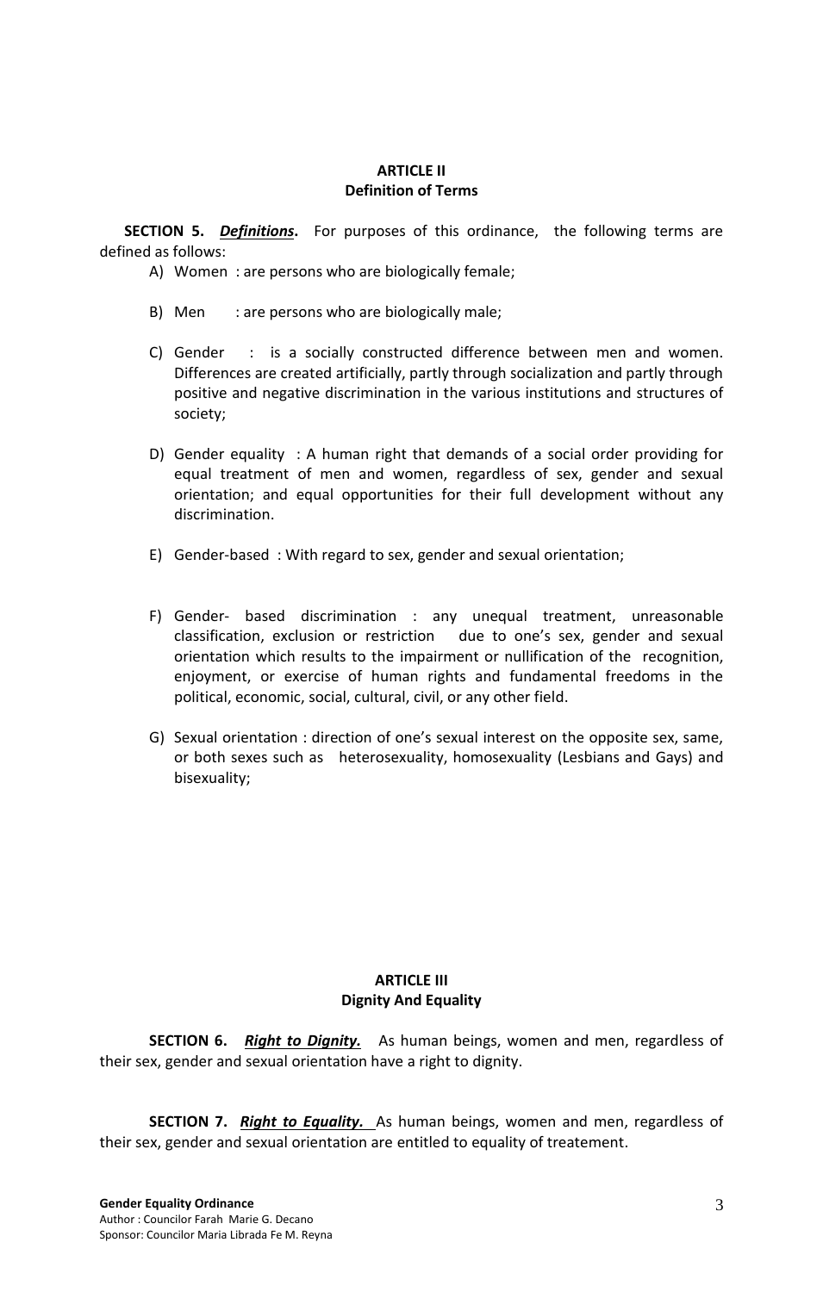### **ARTICLE II Definition of Terms**

**SECTION 5.** *Definitions***.** For purposes of this ordinance, the following terms are defined as follows:

- A) Women : are persons who are biologically female;
- B) Men : are persons who are biologically male;
- C) Gender : is a socially constructed difference between men and women. Differences are created artificially, partly through socialization and partly through positive and negative discrimination in the various institutions and structures of society;
- D) Gender equality : A human right that demands of a social order providing for equal treatment of men and women, regardless of sex, gender and sexual orientation; and equal opportunities for their full development without any discrimination.
- E) Gender-based : With regard to sex, gender and sexual orientation;
- F) Gender- based discrimination : any unequal treatment, unreasonable classification, exclusion or restriction due to one's sex, gender and sexual orientation which results to the impairment or nullification of the recognition, enjoyment, or exercise of human rights and fundamental freedoms in the political, economic, social, cultural, civil, or any other field.
- G) Sexual orientation : direction of one's sexual interest on the opposite sex, same, or both sexes such as heterosexuality, homosexuality (Lesbians and Gays) and bisexuality;

#### **ARTICLE III Dignity And Equality**

**SECTION 6.** *Right to Dignity.*As human beings, women and men, regardless of their sex, gender and sexual orientation have a right to dignity.

**SECTION 7.** *Right to Equality.* As human beings, women and men, regardless of their sex, gender and sexual orientation are entitled to equality of treatement.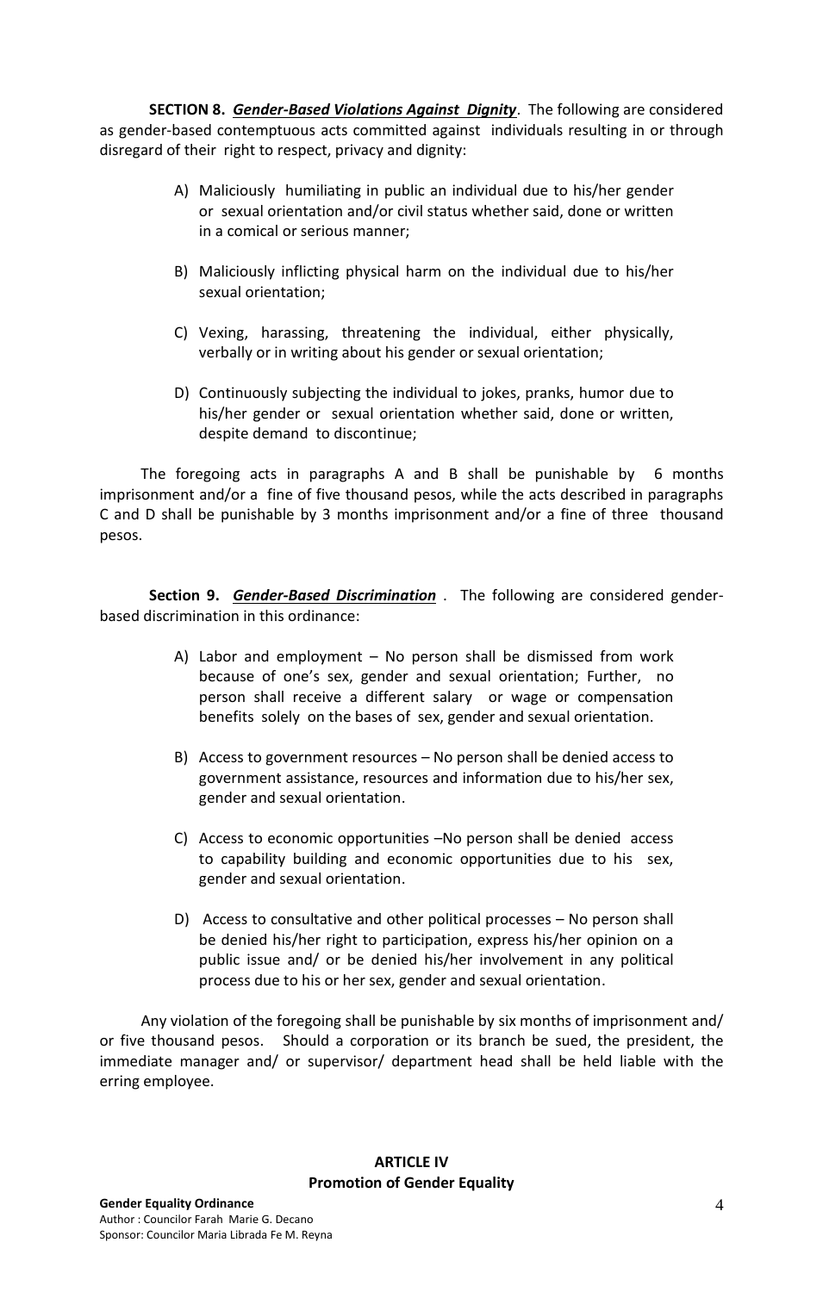**SECTION 8.** *Gender-Based Violations Against Dignity*. The following are considered as gender-based contemptuous acts committed against individuals resulting in or through disregard of their right to respect, privacy and dignity:

- A) Maliciously humiliating in public an individual due to his/her gender or sexual orientation and/or civil status whether said, done or written in a comical or serious manner;
- B) Maliciously inflicting physical harm on the individual due to his/her sexual orientation;
- C) Vexing, harassing, threatening the individual, either physically, verbally or in writing about his gender or sexual orientation;
- D) Continuously subjecting the individual to jokes, pranks, humor due to his/her gender or sexual orientation whether said, done or written, despite demand to discontinue;

 The foregoing acts in paragraphs A and B shall be punishable by 6 months imprisonment and/or a fine of five thousand pesos, while the acts described in paragraphs C and D shall be punishable by 3 months imprisonment and/or a fine of three thousand pesos.

**Section 9.** *Gender-Based Discrimination* . The following are considered genderbased discrimination in this ordinance:

- A) Labor and employment No person shall be dismissed from work because of one's sex, gender and sexual orientation; Further, no person shall receive a different salary or wage or compensation benefits solely on the bases of sex, gender and sexual orientation.
- B) Access to government resources No person shall be denied access to government assistance, resources and information due to his/her sex, gender and sexual orientation.
- C) Access to economic opportunities –No person shall be denied access to capability building and economic opportunities due to his sex, gender and sexual orientation.
- D) Access to consultative and other political processes No person shall be denied his/her right to participation, express his/her opinion on a public issue and/ or be denied his/her involvement in any political process due to his or her sex, gender and sexual orientation.

 Any violation of the foregoing shall be punishable by six months of imprisonment and/ or five thousand pesos. Should a corporation or its branch be sued, the president, the immediate manager and/ or supervisor/ department head shall be held liable with the erring employee.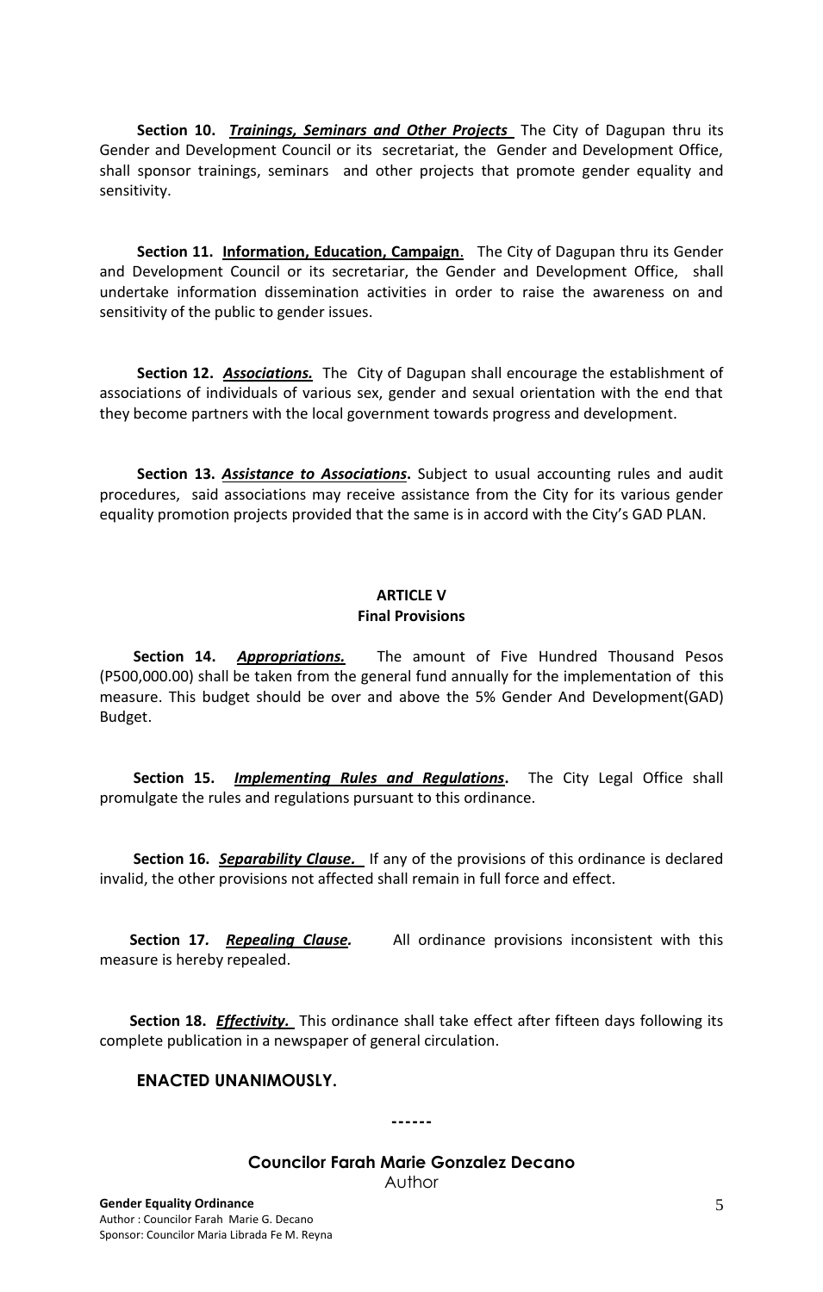**Section 10.** *Trainings, Seminars and Other Projects* The City of Dagupan thru its Gender and Development Council or its secretariat, the Gender and Development Office, shall sponsor trainings, seminars and other projects that promote gender equality and sensitivity.

 **Section 11. Information, Education, Campaign**. The City of Dagupan thru its Gender and Development Council or its secretariar, the Gender and Development Office, shall undertake information dissemination activities in order to raise the awareness on and sensitivity of the public to gender issues.

 **Section 12.** *Associations.*The City of Dagupan shall encourage the establishment of associations of individuals of various sex, gender and sexual orientation with the end that they become partners with the local government towards progress and development.

 **Section 13.** *Assistance to Associations***.** Subject to usual accounting rules and audit procedures, said associations may receive assistance from the City for its various gender equality promotion projects provided that the same is in accord with the City's GAD PLAN.

### **ARTICLE V Final Provisions**

 **Section 14.** *Appropriations.*The amount of Five Hundred Thousand Pesos (P500,000.00) shall be taken from the general fund annually for the implementation of this measure. This budget should be over and above the 5% Gender And Development(GAD) Budget.

 **Section 15.** *Implementing Rules and Regulations***.** The City Legal Office shall promulgate the rules and regulations pursuant to this ordinance.

 **Section 16.** *Separability Clause.* If any of the provisions of this ordinance is declared invalid, the other provisions not affected shall remain in full force and effect.

**Section 17. Repealing Clause.** All ordinance provisions inconsistent with this measure is hereby repealed.

 **Section 18.** *Effectivity.* This ordinance shall take effect after fifteen days following its complete publication in a newspaper of general circulation.

#### **ENACTED UNANIMOUSLY.**

**------**

## **Councilor Farah Marie Gonzalez Decano**

Author